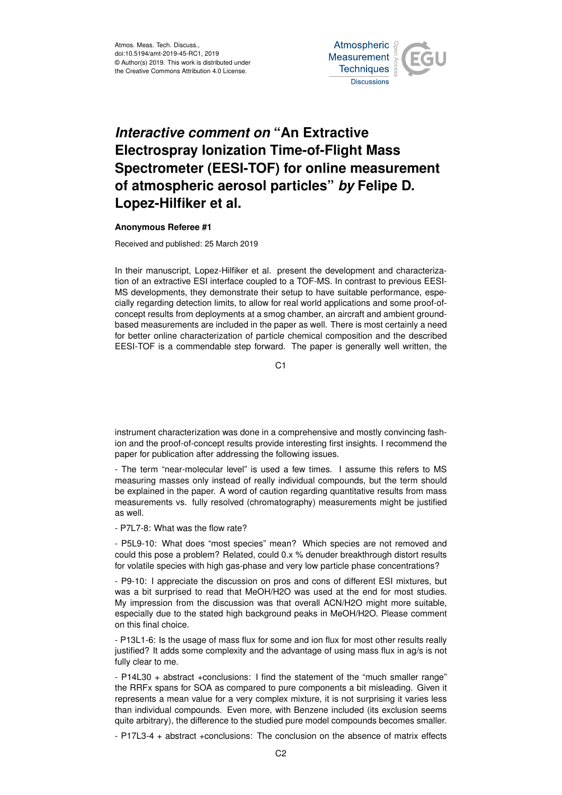Atmos. Meas. Tech. Discuss., doi:10.5194/amt-2019-45-RC1, 2019 © Author(s) 2019. This work is distributed under the Creative Commons Attribution 4.0 License.



## *Interactive comment on* **"An Extractive Electrospray Ionization Time-of-Flight Mass Spectrometer (EESI-TOF) for online measurement of atmospheric aerosol particles"** *by* **Felipe D. Lopez-Hilfiker et al.**

## **Anonymous Referee #1**

Received and published: 25 March 2019

In their manuscript, Lopez-Hilfiker et al. present the development and characterization of an extractive ESI interface coupled to a TOF-MS. In contrast to previous EESI-MS developments, they demonstrate their setup to have suitable performance, especially regarding detection limits, to allow for real world applications and some proof-ofconcept results from deployments at a smog chamber, an aircraft and ambient groundbased measurements are included in the paper as well. There is most certainly a need for better online characterization of particle chemical composition and the described EESI-TOF is a commendable step forward. The paper is generally well written, the

C1

instrument characterization was done in a comprehensive and mostly convincing fashion and the proof-of-concept results provide interesting first insights. I recommend the paper for publication after addressing the following issues.

- The term "near-molecular level" is used a few times. I assume this refers to MS measuring masses only instead of really individual compounds, but the term should be explained in the paper. A word of caution regarding quantitative results from mass measurements vs. fully resolved (chromatography) measurements might be justified as well.

- P7L7-8: What was the flow rate?

- P5L9-10: What does "most species" mean? Which species are not removed and could this pose a problem? Related, could 0.x % denuder breakthrough distort results for volatile species with high gas-phase and very low particle phase concentrations?

- P9-10: I appreciate the discussion on pros and cons of different ESI mixtures, but was a bit surprised to read that MeOH/H2O was used at the end for most studies. My impression from the discussion was that overall ACN/H2O might more suitable, especially due to the stated high background peaks in MeOH/H2O. Please comment on this final choice.

- P13L1-6: Is the usage of mass flux for some and ion flux for most other results really justified? It adds some complexity and the advantage of using mass flux in ag/s is not fully clear to me.

- P14L30 + abstract +conclusions: I find the statement of the "much smaller range" the RRFx spans for SOA as compared to pure components a bit misleading. Given it represents a mean value for a very complex mixture, it is not surprising it varies less than individual compounds. Even more, with Benzene included (its exclusion seems quite arbitrary), the difference to the studied pure model compounds becomes smaller.

- P17L3-4 + abstract +conclusions: The conclusion on the absence of matrix effects